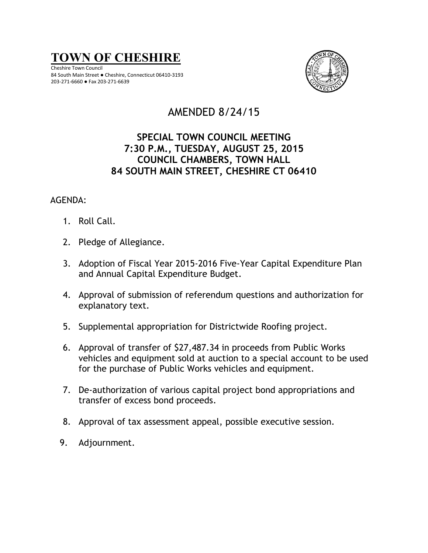

Cheshire Town Council 84 South Main Street ● Cheshire, Connecticut 06410-3193 203-271-6660 ● Fax 203-271-6639



# AMENDED 8/24/15

# **SPECIAL TOWN COUNCIL MEETING 7:30 P.M., TUESDAY, AUGUST 25, 2015 COUNCIL CHAMBERS, TOWN HALL 84 SOUTH MAIN STREET, CHESHIRE CT 06410**

# AGENDA:

- 1. Roll Call.
- 2. Pledge of Allegiance.
- 3. Adoption of Fiscal Year 2015-2016 Five-Year Capital Expenditure Plan and Annual Capital Expenditure Budget.
- 4. Approval of submission of referendum questions and authorization for explanatory text.
- 5. Supplemental appropriation for Districtwide Roofing project.
- 6. Approval of transfer of \$27,487.34 in proceeds from Public Works vehicles and equipment sold at auction to a special account to be used for the purchase of Public Works vehicles and equipment.
- 7. De-authorization of various capital project bond appropriations and transfer of excess bond proceeds.
- 8. Approval of tax assessment appeal, possible executive session.
- 9. Adjournment.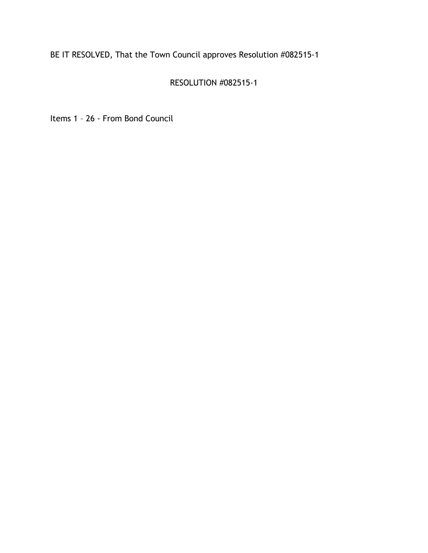# RESOLUTION #082515-1

Items 1 – 26 - From Bond Council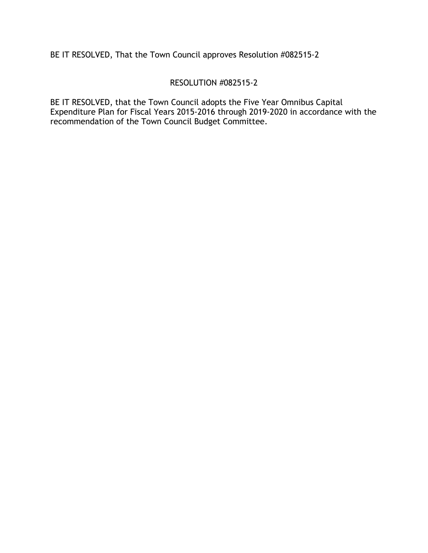### RESOLUTION #082515-2

BE IT RESOLVED, that the Town Council adopts the Five Year Omnibus Capital Expenditure Plan for Fiscal Years 2015-2016 through 2019-2020 in accordance with the recommendation of the Town Council Budget Committee.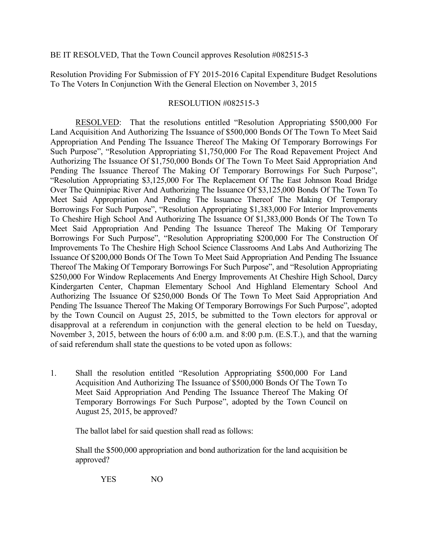Resolution Providing For Submission of FY 2015-2016 Capital Expenditure Budget Resolutions To The Voters In Conjunction With the General Election on November 3, 2015

#### RESOLUTION #082515-3

RESOLVED: That the resolutions entitled "Resolution Appropriating \$500,000 For Land Acquisition And Authorizing The Issuance of \$500,000 Bonds Of The Town To Meet Said Appropriation And Pending The Issuance Thereof The Making Of Temporary Borrowings For Such Purpose", "Resolution Appropriating \$1,750,000 For The Road Repavement Project And Authorizing The Issuance Of \$1,750,000 Bonds Of The Town To Meet Said Appropriation And Pending The Issuance Thereof The Making Of Temporary Borrowings For Such Purpose", "Resolution Appropriating \$3,125,000 For The Replacement Of The East Johnson Road Bridge Over The Quinnipiac River And Authorizing The Issuance Of \$3,125,000 Bonds Of The Town To Meet Said Appropriation And Pending The Issuance Thereof The Making Of Temporary Borrowings For Such Purpose", "Resolution Appropriating \$1,383,000 For Interior Improvements To Cheshire High School And Authorizing The Issuance Of \$1,383,000 Bonds Of The Town To Meet Said Appropriation And Pending The Issuance Thereof The Making Of Temporary Borrowings For Such Purpose", "Resolution Appropriating \$200,000 For The Construction Of Improvements To The Cheshire High School Science Classrooms And Labs And Authorizing The Issuance Of \$200,000 Bonds Of The Town To Meet Said Appropriation And Pending The Issuance Thereof The Making Of Temporary Borrowings For Such Purpose", and "Resolution Appropriating \$250,000 For Window Replacements And Energy Improvements At Cheshire High School, Darcy Kindergarten Center, Chapman Elementary School And Highland Elementary School And Authorizing The Issuance Of \$250,000 Bonds Of The Town To Meet Said Appropriation And Pending The Issuance Thereof The Making Of Temporary Borrowings For Such Purpose", adopted by the Town Council on August 25, 2015, be submitted to the Town electors for approval or disapproval at a referendum in conjunction with the general election to be held on Tuesday, November 3, 2015, between the hours of 6:00 a.m. and 8:00 p.m. (E.S.T.), and that the warning of said referendum shall state the questions to be voted upon as follows:

1. Shall the resolution entitled "Resolution Appropriating \$500,000 For Land Acquisition And Authorizing The Issuance of \$500,000 Bonds Of The Town To Meet Said Appropriation And Pending The Issuance Thereof The Making Of Temporary Borrowings For Such Purpose", adopted by the Town Council on August 25, 2015, be approved?

The ballot label for said question shall read as follows:

Shall the \$500,000 appropriation and bond authorization for the land acquisition be approved?

YES NO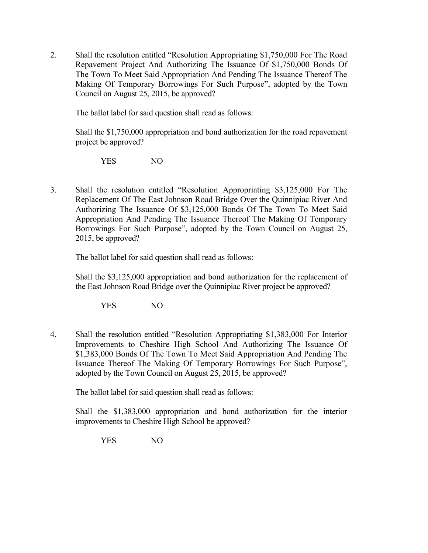2. Shall the resolution entitled "Resolution Appropriating \$1,750,000 For The Road Repavement Project And Authorizing The Issuance Of \$1,750,000 Bonds Of The Town To Meet Said Appropriation And Pending The Issuance Thereof The Making Of Temporary Borrowings For Such Purpose", adopted by the Town Council on August 25, 2015, be approved?

The ballot label for said question shall read as follows:

Shall the \$1,750,000 appropriation and bond authorization for the road repavement project be approved?

YES NO

3. Shall the resolution entitled "Resolution Appropriating \$3,125,000 For The Replacement Of The East Johnson Road Bridge Over the Quinnipiac River And Authorizing The Issuance Of \$3,125,000 Bonds Of The Town To Meet Said Appropriation And Pending The Issuance Thereof The Making Of Temporary Borrowings For Such Purpose", adopted by the Town Council on August 25, 2015, be approved?

The ballot label for said question shall read as follows:

Shall the \$3,125,000 appropriation and bond authorization for the replacement of the East Johnson Road Bridge over the Quinnipiac River project be approved?

YES NO

4. Shall the resolution entitled "Resolution Appropriating \$1,383,000 For Interior Improvements to Cheshire High School And Authorizing The Issuance Of \$1,383,000 Bonds Of The Town To Meet Said Appropriation And Pending The Issuance Thereof The Making Of Temporary Borrowings For Such Purpose", adopted by the Town Council on August 25, 2015, be approved?

The ballot label for said question shall read as follows:

Shall the \$1,383,000 appropriation and bond authorization for the interior improvements to Cheshire High School be approved?

YES NO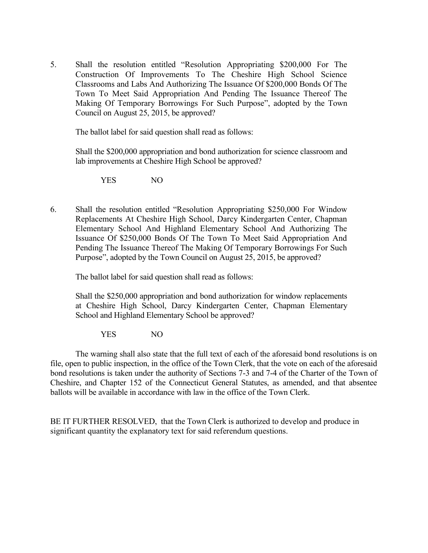5. Shall the resolution entitled "Resolution Appropriating \$200,000 For The Construction Of Improvements To The Cheshire High School Science Classrooms and Labs And Authorizing The Issuance Of \$200,000 Bonds Of The Town To Meet Said Appropriation And Pending The Issuance Thereof The Making Of Temporary Borrowings For Such Purpose", adopted by the Town Council on August 25, 2015, be approved?

The ballot label for said question shall read as follows:

Shall the \$200,000 appropriation and bond authorization for science classroom and lab improvements at Cheshire High School be approved?

YES NO

6. Shall the resolution entitled "Resolution Appropriating \$250,000 For Window Replacements At Cheshire High School, Darcy Kindergarten Center, Chapman Elementary School And Highland Elementary School And Authorizing The Issuance Of \$250,000 Bonds Of The Town To Meet Said Appropriation And Pending The Issuance Thereof The Making Of Temporary Borrowings For Such Purpose", adopted by the Town Council on August 25, 2015, be approved?

The ballot label for said question shall read as follows:

Shall the \$250,000 appropriation and bond authorization for window replacements at Cheshire High School, Darcy Kindergarten Center, Chapman Elementary School and Highland Elementary School be approved?

YES NO

The warning shall also state that the full text of each of the aforesaid bond resolutions is on file, open to public inspection, in the office of the Town Clerk, that the vote on each of the aforesaid bond resolutions is taken under the authority of Sections 7-3 and 7-4 of the Charter of the Town of Cheshire, and Chapter 152 of the Connecticut General Statutes, as amended, and that absentee ballots will be available in accordance with law in the office of the Town Clerk.

BE IT FURTHER RESOLVED, that the Town Clerk is authorized to develop and produce in significant quantity the explanatory text for said referendum questions.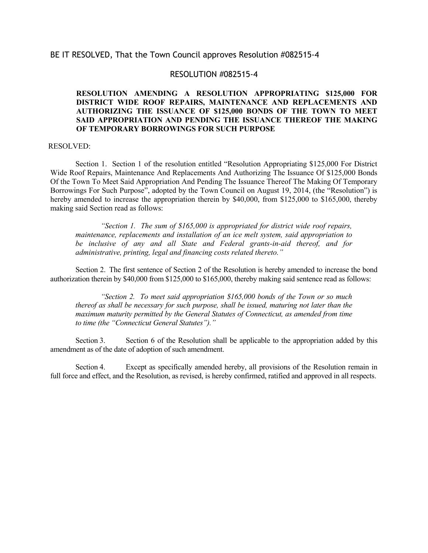#### RESOLUTION #082515-4

#### **RESOLUTION AMENDING A RESOLUTION APPROPRIATING \$125,000 FOR DISTRICT WIDE ROOF REPAIRS, MAINTENANCE AND REPLACEMENTS AND AUTHORIZING THE ISSUANCE OF \$125,000 BONDS OF THE TOWN TO MEET SAID APPROPRIATION AND PENDING THE ISSUANCE THEREOF THE MAKING OF TEMPORARY BORROWINGS FOR SUCH PURPOSE**

#### RESOLVED:

Section 1. Section 1 of the resolution entitled "Resolution Appropriating \$125,000 For District Wide Roof Repairs, Maintenance And Replacements And Authorizing The Issuance Of \$125,000 Bonds Of the Town To Meet Said Appropriation And Pending The Issuance Thereof The Making Of Temporary Borrowings For Such Purpose", adopted by the Town Council on August 19, 2014, (the "Resolution") is hereby amended to increase the appropriation therein by \$40,000, from \$125,000 to \$165,000, thereby making said Section read as follows:

*"Section 1. The sum of \$165,000 is appropriated for district wide roof repairs, maintenance, replacements and installation of an ice melt system, said appropriation to be inclusive of any and all State and Federal grants-in-aid thereof, and for administrative, printing, legal and financing costs related thereto."*

Section 2. The first sentence of Section 2 of the Resolution is hereby amended to increase the bond authorization therein by \$40,000 from \$125,000 to \$165,000, thereby making said sentence read as follows:

*"Section 2. To meet said appropriation \$165,000 bonds of the Town or so much thereof as shall be necessary for such purpose, shall be issued, maturing not later than the maximum maturity permitted by the General Statutes of Connecticut, as amended from time to time (the "Connecticut General Statutes")."*

Section 3. Section 6 of the Resolution shall be applicable to the appropriation added by this amendment as of the date of adoption of such amendment.

Section 4. Except as specifically amended hereby, all provisions of the Resolution remain in full force and effect, and the Resolution, as revised, is hereby confirmed, ratified and approved in all respects.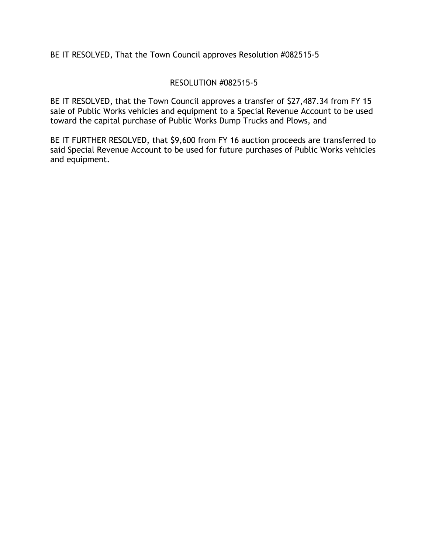### RESOLUTION #082515-5

BE IT RESOLVED, that the Town Council approves a transfer of \$27,487.34 from FY 15 sale of Public Works vehicles and equipment to a Special Revenue Account to be used toward the capital purchase of Public Works Dump Trucks and Plows, and

BE IT FURTHER RESOLVED, that \$9,600 from FY 16 auction proceeds are transferred to said Special Revenue Account to be used for future purchases of Public Works vehicles and equipment.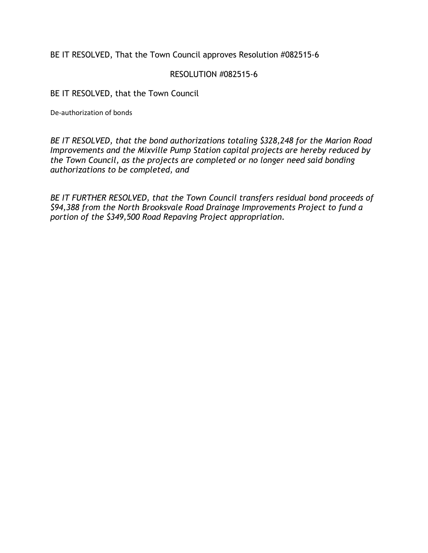### RESOLUTION #082515-6

BE IT RESOLVED, that the Town Council

De-authorization of bonds

*BE IT RESOLVED, that the bond authorizations totaling \$328,248 for the Marion Road Improvements and the Mixville Pump Station capital projects are hereby reduced by the Town Council, as the projects are completed or no longer need said bonding authorizations to be completed, and* 

*BE IT FURTHER RESOLVED, that the Town Council transfers residual bond proceeds of \$94,388 from the North Brooksvale Road Drainage Improvements Project to fund a portion of the \$349,500 Road Repaving Project appropriation.*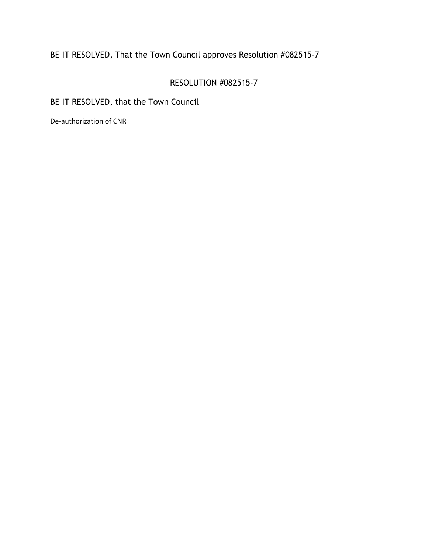## RESOLUTION #082515-7

BE IT RESOLVED, that the Town Council

De-authorization of CNR